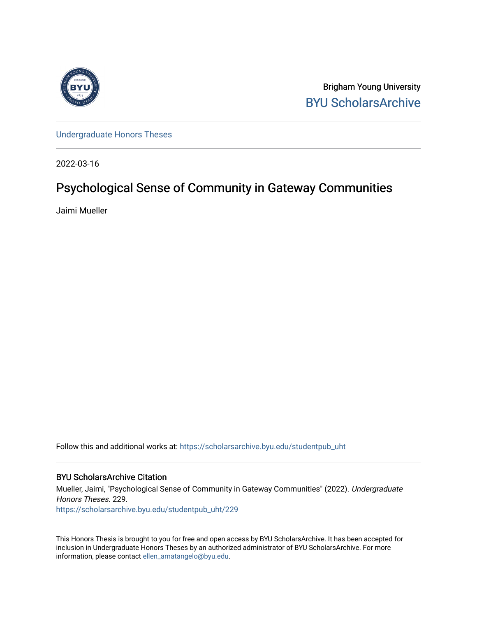

Brigham Young University [BYU ScholarsArchive](https://scholarsarchive.byu.edu/) 

[Undergraduate Honors Theses](https://scholarsarchive.byu.edu/studentpub_uht) 

2022-03-16

# Psychological Sense of Community in Gateway Communities

Jaimi Mueller

Follow this and additional works at: [https://scholarsarchive.byu.edu/studentpub\\_uht](https://scholarsarchive.byu.edu/studentpub_uht?utm_source=scholarsarchive.byu.edu%2Fstudentpub_uht%2F229&utm_medium=PDF&utm_campaign=PDFCoverPages) 

# BYU ScholarsArchive Citation

Mueller, Jaimi, "Psychological Sense of Community in Gateway Communities" (2022). Undergraduate Honors Theses. 229. [https://scholarsarchive.byu.edu/studentpub\\_uht/229](https://scholarsarchive.byu.edu/studentpub_uht/229?utm_source=scholarsarchive.byu.edu%2Fstudentpub_uht%2F229&utm_medium=PDF&utm_campaign=PDFCoverPages)

This Honors Thesis is brought to you for free and open access by BYU ScholarsArchive. It has been accepted for inclusion in Undergraduate Honors Theses by an authorized administrator of BYU ScholarsArchive. For more information, please contact [ellen\\_amatangelo@byu.edu.](mailto:ellen_amatangelo@byu.edu)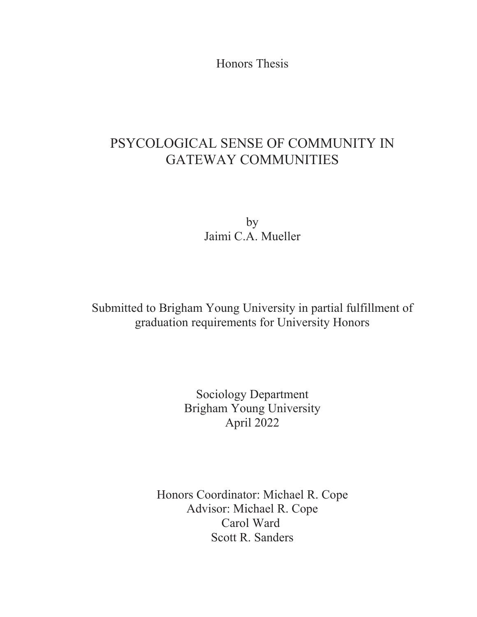Honors Thesis

# PSYCOLOGICAL SENSE OF COMMUNITY IN GATEWAY COMMUNITIES

by Jaimi C.A. Mueller

Submitted to Brigham Young University in partial fulfillment of graduation requirements for University Honors

> Sociology Department Brigham Young University April 2022

Honors Coordinator: Michael R. Cope Advisor: Michael R. Cope Carol Ward Scott R. Sanders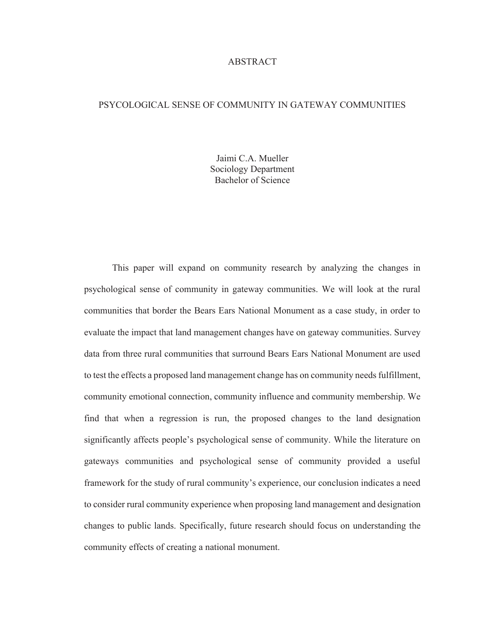# ABSTRACT

# PSYCOLOGICAL SENSE OF COMMUNITY IN GATEWAY COMMUNITIES

Jaimi C.A. Mueller Sociology Department Bachelor of Science

This paper will expand on community research by analyzing the changes in psychological sense of community in gateway communities. We will look at the rural communities that border the Bears Ears National Monument as a case study, in order to evaluate the impact that land management changes have on gateway communities. Survey data from three rural communities that surround Bears Ears National Monument are used to test the effects a proposed land management change has on community needs fulfillment, community emotional connection, community influence and community membership. We find that when a regression is run, the proposed changes to the land designation significantly affects people's psychological sense of community. While the literature on gateways communities and psychological sense of community provided a useful framework for the study of rural community's experience, our conclusion indicates a need to consider rural community experience when proposing land management and designation changes to public lands. Specifically, future research should focus on understanding the community effects of creating a national monument.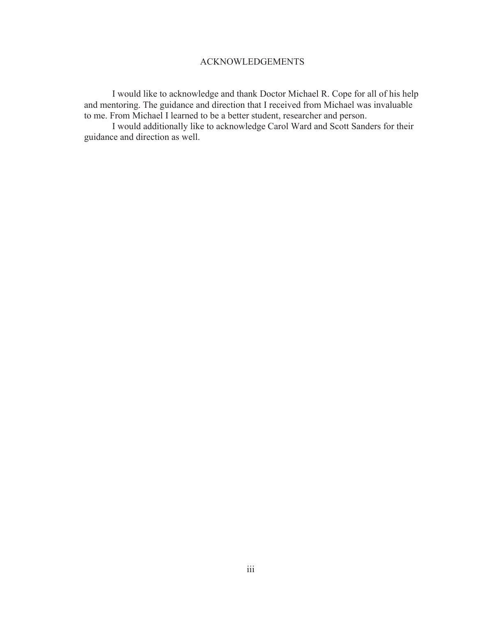# ACKNOWLEDGEMENTS

 I would like to acknowledge and thank Doctor Michael R. Cope for all of his help and mentoring. The guidance and direction that I received from Michael was invaluable to me. From Michael I learned to be a better student, researcher and person.

 I would additionally like to acknowledge Carol Ward and Scott Sanders for their guidance and direction as well.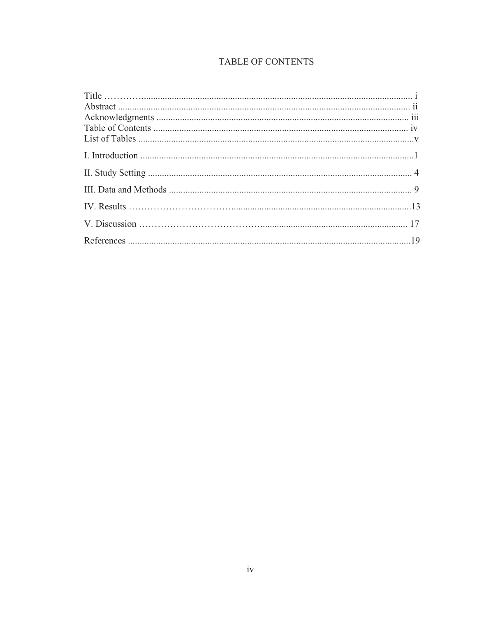# **TABLE OF CONTENTS**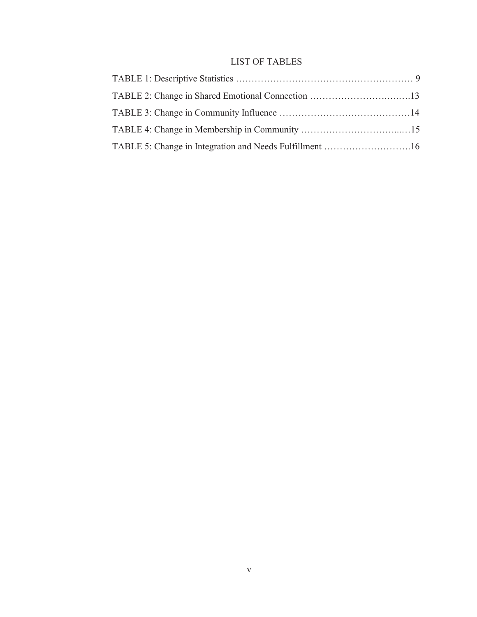# LIST OF TABLES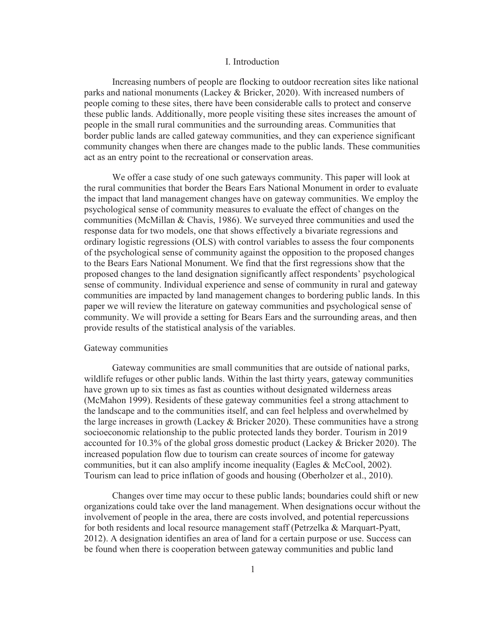### I. Introduction

 Increasing numbers of people are flocking to outdoor recreation sites like national parks and national monuments (Lackey & Bricker, 2020). With increased numbers of people coming to these sites, there have been considerable calls to protect and conserve these public lands. Additionally, more people visiting these sites increases the amount of people in the small rural communities and the surrounding areas. Communities that border public lands are called gateway communities, and they can experience significant community changes when there are changes made to the public lands. These communities act as an entry point to the recreational or conservation areas.

We offer a case study of one such gateways community. This paper will look at the rural communities that border the Bears Ears National Monument in order to evaluate the impact that land management changes have on gateway communities. We employ the psychological sense of community measures to evaluate the effect of changes on the communities (McMillan & Chavis, 1986). We surveyed three communities and used the response data for two models, one that shows effectively a bivariate regressions and ordinary logistic regressions (OLS) with control variables to assess the four components of the psychological sense of community against the opposition to the proposed changes to the Bears Ears National Monument. We find that the first regressions show that the proposed changes to the land designation significantly affect respondents' psychological sense of community. Individual experience and sense of community in rural and gateway communities are impacted by land management changes to bordering public lands. In this paper we will review the literature on gateway communities and psychological sense of community. We will provide a setting for Bears Ears and the surrounding areas, and then provide results of the statistical analysis of the variables.

# Gateway communities

Gateway communities are small communities that are outside of national parks, wildlife refuges or other public lands. Within the last thirty years, gateway communities have grown up to six times as fast as counties without designated wilderness areas (McMahon 1999). Residents of these gateway communities feel a strong attachment to the landscape and to the communities itself, and can feel helpless and overwhelmed by the large increases in growth (Lackey  $&$  Bricker 2020). These communities have a strong socioeconomic relationship to the public protected lands they border. Tourism in 2019 accounted for 10.3% of the global gross domestic product (Lackey & Bricker 2020). The increased population flow due to tourism can create sources of income for gateway communities, but it can also amplify income inequality (Eagles & McCool, 2002). Tourism can lead to price inflation of goods and housing (Oberholzer et al., 2010).

Changes over time may occur to these public lands; boundaries could shift or new organizations could take over the land management. When designations occur without the involvement of people in the area, there are costs involved, and potential repercussions for both residents and local resource management staff (Petrzelka & Marquart-Pyatt, 2012). A designation identifies an area of land for a certain purpose or use. Success can be found when there is cooperation between gateway communities and public land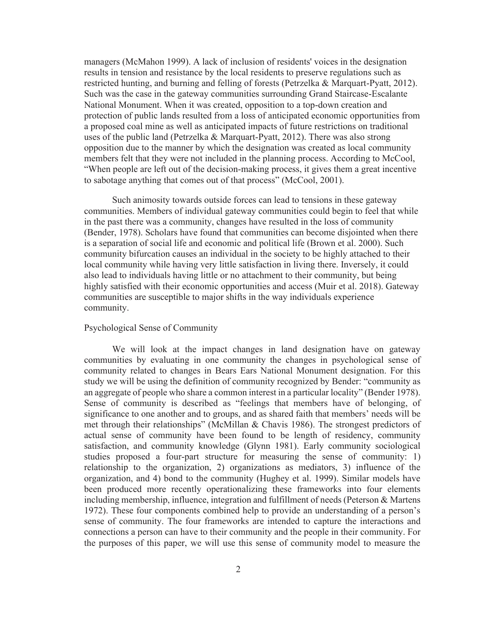managers (McMahon 1999). A lack of inclusion of residents' voices in the designation results in tension and resistance by the local residents to preserve regulations such as restricted hunting, and burning and felling of forests (Petrzelka & Marquart-Pyatt, 2012). Such was the case in the gateway communities surrounding Grand Staircase-Escalante National Monument. When it was created, opposition to a top-down creation and protection of public lands resulted from a loss of anticipated economic opportunities from a proposed coal mine as well as anticipated impacts of future restrictions on traditional uses of the public land (Petrzelka & Marquart-Pyatt, 2012). There was also strong opposition due to the manner by which the designation was created as local community members felt that they were not included in the planning process. According to McCool, "When people are left out of the decision-making process, it gives them a great incentive to sabotage anything that comes out of that process" (McCool, 2001).

Such animosity towards outside forces can lead to tensions in these gateway communities. Members of individual gateway communities could begin to feel that while in the past there was a community, changes have resulted in the loss of community (Bender, 1978). Scholars have found that communities can become disjointed when there is a separation of social life and economic and political life (Brown et al. 2000). Such community bifurcation causes an individual in the society to be highly attached to their local community while having very little satisfaction in living there. Inversely, it could also lead to individuals having little or no attachment to their community, but being highly satisfied with their economic opportunities and access (Muir et al. 2018). Gateway communities are susceptible to major shifts in the way individuals experience community.

# Psychological Sense of Community

 We will look at the impact changes in land designation have on gateway communities by evaluating in one community the changes in psychological sense of community related to changes in Bears Ears National Monument designation. For this study we will be using the definition of community recognized by Bender: "community as an aggregate of people who share a common interest in a particular locality" (Bender 1978). Sense of community is described as "feelings that members have of belonging, of significance to one another and to groups, and as shared faith that members' needs will be met through their relationships" (McMillan & Chavis 1986). The strongest predictors of actual sense of community have been found to be length of residency, community satisfaction, and community knowledge (Glynn 1981). Early community sociological studies proposed a four-part structure for measuring the sense of community: 1) relationship to the organization, 2) organizations as mediators, 3) influence of the organization, and 4) bond to the community (Hughey et al. 1999). Similar models have been produced more recently operationalizing these frameworks into four elements including membership, influence, integration and fulfillment of needs (Peterson & Martens 1972). These four components combined help to provide an understanding of a person's sense of community. The four frameworks are intended to capture the interactions and connections a person can have to their community and the people in their community. For the purposes of this paper, we will use this sense of community model to measure the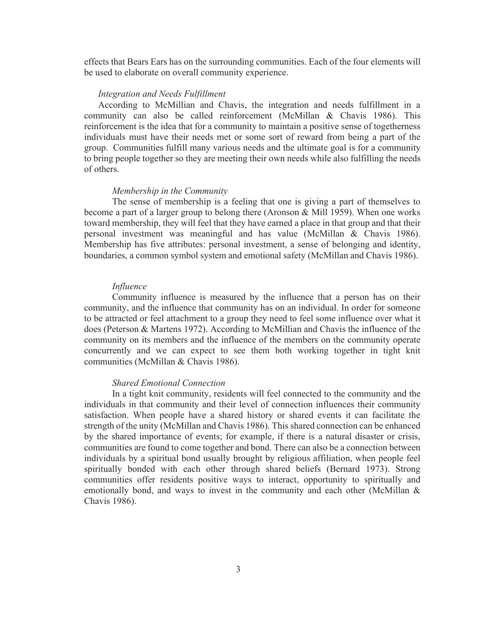effects that Bears Ears has on the surrounding communities. Each of the four elements will be used to elaborate on overall community experience.

#### *Integration and Needs Fulfillment*

According to McMillian and Chavis, the integration and needs fulfillment in a community can also be called reinforcement (McMillan & Chavis 1986). This reinforcement is the idea that for a community to maintain a positive sense of togetherness individuals must have their needs met or some sort of reward from being a part of the group. Communities fulfill many various needs and the ultimate goal is for a community to bring people together so they are meeting their own needs while also fulfilling the needs of others.

#### *Membership in the Community*

The sense of membership is a feeling that one is giving a part of themselves to become a part of a larger group to belong there (Aronson & Mill 1959). When one works toward membership, they will feel that they have earned a place in that group and that their personal investment was meaningful and has value (McMillan & Chavis 1986). Membership has five attributes: personal investment, a sense of belonging and identity, boundaries, a common symbol system and emotional safety (McMillan and Chavis 1986).

#### *Influence*

Community influence is measured by the influence that a person has on their community, and the influence that community has on an individual. In order for someone to be attracted or feel attachment to a group they need to feel some influence over what it does (Peterson & Martens 1972). According to McMillian and Chavis the influence of the community on its members and the influence of the members on the community operate concurrently and we can expect to see them both working together in tight knit communities (McMillan & Chavis 1986).

# *Shared Emotional Connection*

In a tight knit community, residents will feel connected to the community and the individuals in that community and their level of connection influences their community satisfaction. When people have a shared history or shared events it can facilitate the strength of the unity (McMillan and Chavis 1986). This shared connection can be enhanced by the shared importance of events; for example, if there is a natural disaster or crisis, communities are found to come together and bond. There can also be a connection between individuals by a spiritual bond usually brought by religious affiliation, when people feel spiritually bonded with each other through shared beliefs (Bernard 1973). Strong communities offer residents positive ways to interact, opportunity to spiritually and emotionally bond, and ways to invest in the community and each other (McMillan & Chavis 1986).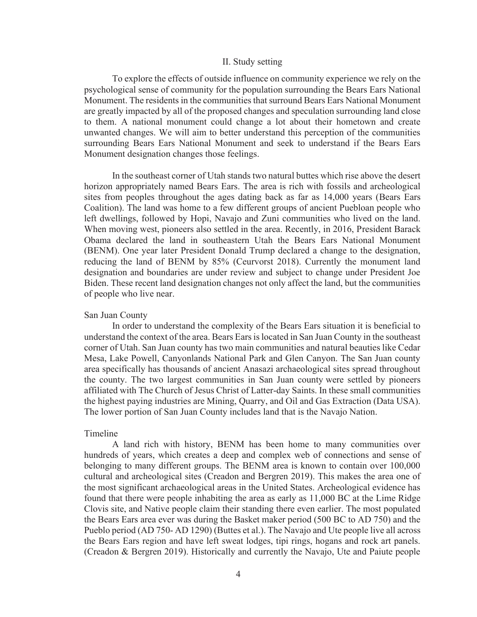#### II. Study setting

To explore the effects of outside influence on community experience we rely on the psychological sense of community for the population surrounding the Bears Ears National Monument. The residents in the communities that surround Bears Ears National Monument are greatly impacted by all of the proposed changes and speculation surrounding land close to them. A national monument could change a lot about their hometown and create unwanted changes. We will aim to better understand this perception of the communities surrounding Bears Ears National Monument and seek to understand if the Bears Ears Monument designation changes those feelings.

In the southeast corner of Utah stands two natural buttes which rise above the desert horizon appropriately named Bears Ears. The area is rich with fossils and archeological sites from peoples throughout the ages dating back as far as 14,000 years (Bears Ears Coalition). The land was home to a few different groups of ancient Puebloan people who left dwellings, followed by Hopi, Navajo and Zuni communities who lived on the land. When moving west, pioneers also settled in the area. Recently, in 2016, President Barack Obama declared the land in southeastern Utah the Bears Ears National Monument (BENM). One year later President Donald Trump declared a change to the designation, reducing the land of BENM by 85% (Ceurvorst 2018). Currently the monument land designation and boundaries are under review and subject to change under President Joe Biden. These recent land designation changes not only affect the land, but the communities of people who live near.

#### San Juan County

In order to understand the complexity of the Bears Ears situation it is beneficial to understand the context of the area. Bears Ears is located in San Juan County in the southeast corner of Utah. San Juan county has two main communities and natural beauties like Cedar Mesa, Lake Powell, Canyonlands National Park and Glen Canyon. The San Juan county area specifically has thousands of ancient Anasazi archaeological sites spread throughout the county. The two largest communities in San Juan county were settled by pioneers affiliated with The Church of Jesus Christ of Latter-day Saints. In these small communities the highest paying industries are Mining, Quarry, and Oil and Gas Extraction (Data USA). The lower portion of San Juan County includes land that is the Navajo Nation.

# Timeline

 A land rich with history, BENM has been home to many communities over hundreds of years, which creates a deep and complex web of connections and sense of belonging to many different groups. The BENM area is known to contain over 100,000 cultural and archeological sites (Creadon and Bergren 2019). This makes the area one of the most significant archaeological areas in the United States. Archeological evidence has found that there were people inhabiting the area as early as 11,000 BC at the Lime Ridge Clovis site, and Native people claim their standing there even earlier. The most populated the Bears Ears area ever was during the Basket maker period (500 BC to AD 750) and the Pueblo period (AD 750- AD 1290) (Buttes et al.). The Navajo and Ute people live all across the Bears Ears region and have left sweat lodges, tipi rings, hogans and rock art panels. (Creadon & Bergren 2019). Historically and currently the Navajo, Ute and Paiute people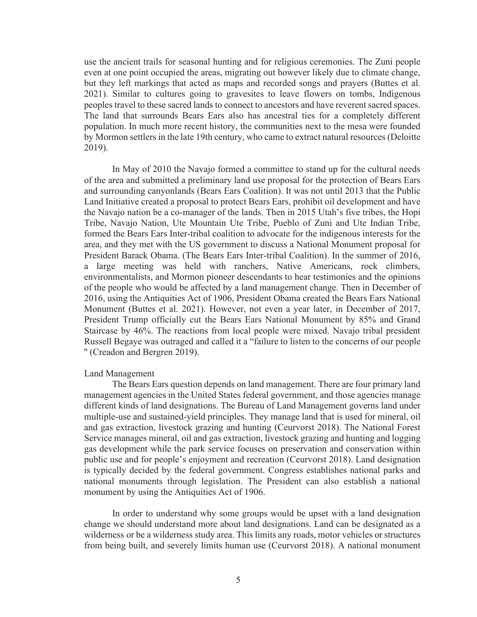use the ancient trails for seasonal hunting and for religious ceremonies. The Zuni people even at one point occupied the areas, migrating out however likely due to climate change, but they left markings that acted as maps and recorded songs and prayers (Buttes et al. 2021). Similar to cultures going to gravesites to leave flowers on tombs, Indigenous peoples travel to these sacred lands to connect to ancestors and have reverent sacred spaces. The land that surrounds Bears Ears also has ancestral ties for a completely different population. In much more recent history, the communities next to the mesa were founded by Mormon settlers in the late 19th century, who came to extract natural resources (Deloitte 2019).

 In May of 2010 the Navajo formed a committee to stand up for the cultural needs of the area and submitted a preliminary land use proposal for the protection of Bears Ears and surrounding canyonlands (Bears Ears Coalition). It was not until 2013 that the Public Land Initiative created a proposal to protect Bears Ears, prohibit oil development and have the Navajo nation be a co-manager of the lands. Then in 2015 Utah's five tribes, the Hopi Tribe, Navajo Nation, Ute Mountain Ute Tribe, Pueblo of Zuni and Ute Indian Tribe, formed the Bears Ears Inter-tribal coalition to advocate for the indigenous interests for the area, and they met with the US government to discuss a National Monument proposal for President Barack Obama. (The Bears Ears Inter-tribal Coalition). In the summer of 2016, a large meeting was held with ranchers, Native Americans, rock climbers, environmentalists, and Mormon pioneer descendants to hear testimonies and the opinions of the people who would be affected by a land management change. Then in December of 2016, using the Antiquities Act of 1906, President Obama created the Bears Ears National Monument (Buttes et al. 2021). However, not even a year later, in December of 2017, President Trump officially cut the Bears Ears National Monument by 85% and Grand Staircase by 46%. The reactions from local people were mixed. Navajo tribal president Russell Begaye was outraged and called it a "failure to listen to the concerns of our people '' (Creadon and Bergren 2019).

#### Land Management

The Bears Ears question depends on land management. There are four primary land management agencies in the United States federal government, and those agencies manage different kinds of land designations. The Bureau of Land Management governs land under multiple-use and sustained-yield principles. They manage land that is used for mineral, oil and gas extraction, livestock grazing and hunting (Ceurvorst 2018). The National Forest Service manages mineral, oil and gas extraction, livestock grazing and hunting and logging gas development while the park service focuses on preservation and conservation within public use and for people's enjoyment and recreation (Ceurvorst 2018). Land designation is typically decided by the federal government. Congress establishes national parks and national monuments through legislation. The President can also establish a national monument by using the Antiquities Act of 1906.

In order to understand why some groups would be upset with a land designation change we should understand more about land designations. Land can be designated as a wilderness or be a wilderness study area. This limits any roads, motor vehicles or structures from being built, and severely limits human use (Ceurvorst 2018). A national monument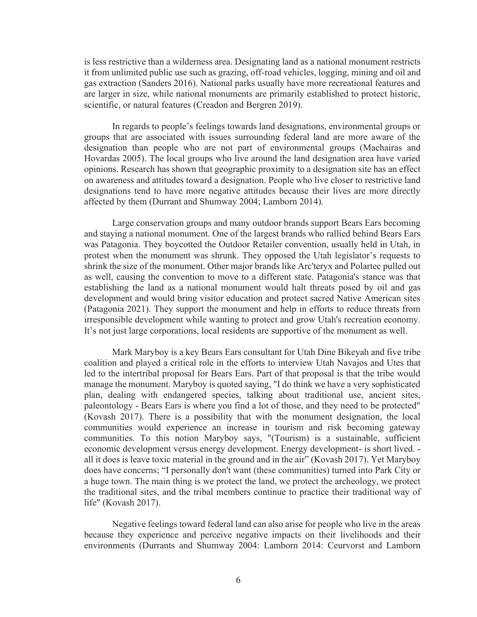is less restrictive than a wilderness area. Designating land as a national monument restricts it from unlimited public use such as grazing, off-road vehicles, logging, mining and oil and gas extraction (Sanders 2016). National parks usually have more recreational features and are larger in size, while national monuments are primarily established to protect historic, scientific, or natural features (Creadon and Bergren 2019).

In regards to people's feelings towards land designations, environmental groups or groups that are associated with issues surrounding federal land are more aware of the designation than people who are not part of environmental groups (Machairas and Hovardas 2005). The local groups who live around the land designation area have varied opinions. Research has shown that geographic proximity to a designation site has an effect on awareness and attitudes toward a designation. People who live closer to restrictive land designations tend to have more negative attitudes because their lives are more directly affected by them (Durrant and Shumway 2004; Lamborn 2014).

 Large conservation groups and many outdoor brands support Bears Ears becoming and staying a national monument. One of the largest brands who rallied behind Bears Ears was Patagonia. They boycotted the Outdoor Retailer convention, usually held in Utah, in protest when the monument was shrunk. They opposed the Utah legislator's requests to shrink the size of the monument. Other major brands like Arc'teryx and Polartec pulled out as well, causing the convention to move to a different state. Patagonia's stance was that establishing the land as a national monument would halt threats posed by oil and gas development and would bring visitor education and protect sacred Native American sites (Patagonia 2021). They support the monument and help in efforts to reduce threats from irresponsible development while wanting to protect and grow Utah's recreation economy. It's not just large corporations, local residents are supportive of the monument as well.

Mark Maryboy is a key Bears Ears consultant for Utah Dine Bikeyah and five tribe coalition and played a critical role in the efforts to interview Utah Navajos and Utes that led to the intertribal proposal for Bears Ears. Part of that proposal is that the tribe would manage the monument. Maryboy is quoted saying, "I do think we have a very sophisticated plan, dealing with endangered species, talking about traditional use, ancient sites, paleontology - Bears Ears is where you find a lot of those, and they need to be protected" (Kovash 2017). There is a possibility that with the monument designation, the local communities would experience an increase in tourism and risk becoming gateway communities. To this notion Maryboy says, "(Tourism) is a sustainable, sufficient economic development versus energy development. Energy development- is short lived. all it does is leave toxic material in the ground and in the air" (Kovash 2017). Yet Maryboy does have concerns; "I personally don't want (these communities) turned into Park City or a huge town. The main thing is we protect the land, we protect the archeology, we protect the traditional sites, and the tribal members continue to practice their traditional way of life" (Kovash 2017).

Negative feelings toward federal land can also arise for people who live in the areas because they experience and perceive negative impacts on their livelihoods and their environments (Durrants and Shumway 2004: Lamborn 2014: Ceurvorst and Lamborn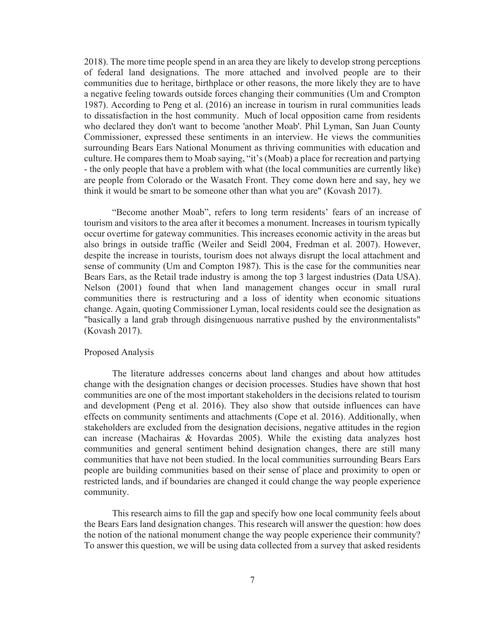2018). The more time people spend in an area they are likely to develop strong perceptions of federal land designations. The more attached and involved people are to their communities due to heritage, birthplace or other reasons, the more likely they are to have a negative feeling towards outside forces changing their communities (Um and Crompton 1987). According to Peng et al. (2016) an increase in tourism in rural communities leads to dissatisfaction in the host community. Much of local opposition came from residents who declared they don't want to become 'another Moab'. Phil Lyman, San Juan County Commissioner, expressed these sentiments in an interview. He views the communities surrounding Bears Ears National Monument as thriving communities with education and culture. He compares them to Moab saying, "it's (Moab) a place for recreation and partying - the only people that have a problem with what (the local communities are currently like) are people from Colorado or the Wasatch Front. They come down here and say, hey we think it would be smart to be someone other than what you are" (Kovash 2017).

"Become another Moab", refers to long term residents' fears of an increase of tourism and visitors to the area after it becomes a monument. Increases in tourism typically occur overtime for gateway communities. This increases economic activity in the areas but also brings in outside traffic (Weiler and Seidl 2004, Fredman et al. 2007). However, despite the increase in tourists, tourism does not always disrupt the local attachment and sense of community (Um and Compton 1987). This is the case for the communities near Bears Ears, as the Retail trade industry is among the top 3 largest industries (Data USA). Nelson (2001) found that when land management changes occur in small rural communities there is restructuring and a loss of identity when economic situations change. Again, quoting Commissioner Lyman, local residents could see the designation as "basically a land grab through disingenuous narrative pushed by the environmentalists" (Kovash 2017).

### Proposed Analysis

 The literature addresses concerns about land changes and about how attitudes change with the designation changes or decision processes. Studies have shown that host communities are one of the most important stakeholders in the decisions related to tourism and development (Peng et al. 2016). They also show that outside influences can have effects on community sentiments and attachments (Cope et al. 2016). Additionally, when stakeholders are excluded from the designation decisions, negative attitudes in the region can increase (Machairas & Hovardas 2005). While the existing data analyzes host communities and general sentiment behind designation changes, there are still many communities that have not been studied. In the local communities surrounding Bears Ears people are building communities based on their sense of place and proximity to open or restricted lands, and if boundaries are changed it could change the way people experience community.

This research aims to fill the gap and specify how one local community feels about the Bears Ears land designation changes. This research will answer the question: how does the notion of the national monument change the way people experience their community? To answer this question, we will be using data collected from a survey that asked residents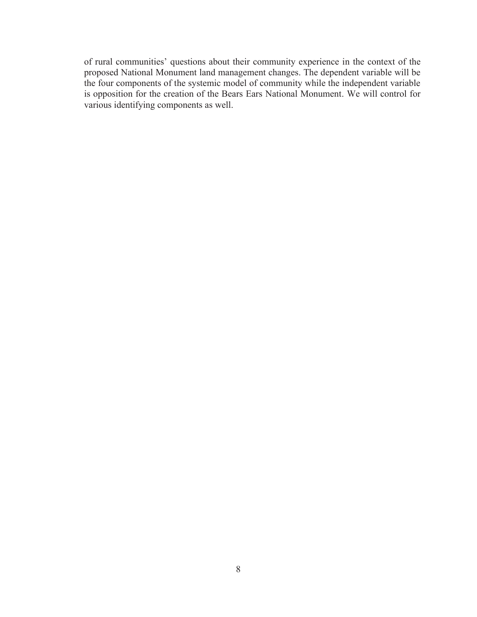of rural communities' questions about their community experience in the context of the proposed National Monument land management changes. The dependent variable will be the four components of the systemic model of community while the independent variable is opposition for the creation of the Bears Ears National Monument. We will control for various identifying components as well.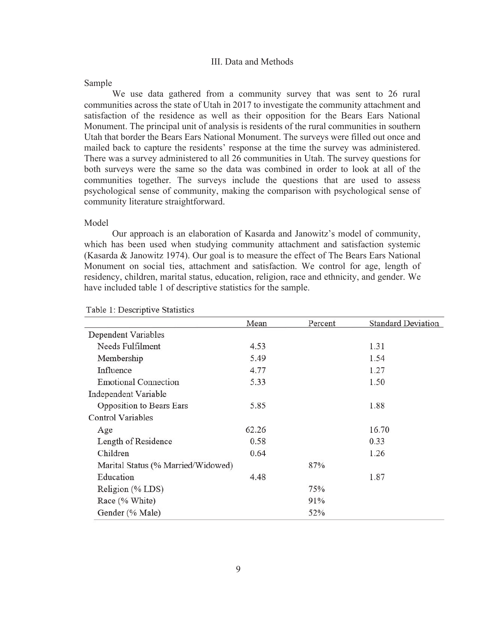#### III. Data and Methods

#### Sample

We use data gathered from a community survey that was sent to 26 rural communities across the state of Utah in 2017 to investigate the community attachment and satisfaction of the residence as well as their opposition for the Bears Ears National Monument. The principal unit of analysis is residents of the rural communities in southern Utah that border the Bears Ears National Monument. The surveys were filled out once and mailed back to capture the residents' response at the time the survey was administered. There was a survey administered to all 26 communities in Utah. The survey questions for both surveys were the same so the data was combined in order to look at all of the communities together. The surveys include the questions that are used to assess psychological sense of community, making the comparison with psychological sense of community literature straightforward.

# Model

Our approach is an elaboration of Kasarda and Janowitz's model of community, which has been used when studying community attachment and satisfaction systemic (Kasarda & Janowitz 1974). Our goal is to measure the effect of The Bears Ears National Monument on social ties, attachment and satisfaction. We control for age, length of residency, children, marital status, education, religion, race and ethnicity, and gender. We have included table 1 of descriptive statistics for the sample.

|                                    | Mean  | Percent | <b>Standard Deviation</b> |
|------------------------------------|-------|---------|---------------------------|
| Dependent Variables                |       |         |                           |
| Needs Fulfilment                   | 4.53  |         | 1.31                      |
| Membership                         | 5.49  |         | 1.54                      |
| Influence                          | 4.77  |         | 1.27                      |
| <b>Emotional Connection</b>        | 5.33  |         | 1.50                      |
| Independent Variable               |       |         |                           |
| <b>Opposition to Bears Ears</b>    | 5.85  |         | 1.88                      |
| <b>Control Variables</b>           |       |         |                           |
| Age                                | 62.26 |         | 16.70                     |
| Length of Residence                | 0.58  |         | 0.33                      |
| Children                           | 0.64  |         | 1.26                      |
| Marital Status (% Married/Widowed) |       | 87%     |                           |
| Education                          | 4.48  |         | 1.87                      |
| Religion (% LDS)                   |       | 75%     |                           |
| Race (% White)                     |       | 91%     |                           |
| Gender (% Male)                    |       | 52%     |                           |

Table 1: Descriptive Statistics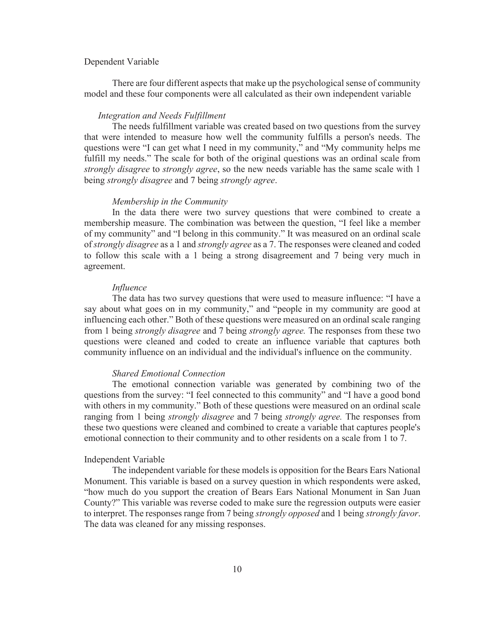#### Dependent Variable

There are four different aspects that make up the psychological sense of community model and these four components were all calculated as their own independent variable

# *Integration and Needs Fulfillment*

The needs fulfillment variable was created based on two questions from the survey that were intended to measure how well the community fulfills a person's needs. The questions were "I can get what I need in my community," and "My community helps me fulfill my needs." The scale for both of the original questions was an ordinal scale from *strongly disagree* to *strongly agree*, so the new needs variable has the same scale with 1 being *strongly disagree* and 7 being *strongly agree*.

#### *Membership in the Community*

 In the data there were two survey questions that were combined to create a membership measure. The combination was between the question, "I feel like a member of my community" and "I belong in this community." It was measured on an ordinal scale of *strongly disagree* as a 1 and *strongly agree* as a 7. The responses were cleaned and coded to follow this scale with a 1 being a strong disagreement and 7 being very much in agreement.

#### *Influence*

The data has two survey questions that were used to measure influence: "I have a say about what goes on in my community," and "people in my community are good at influencing each other." Both of these questions were measured on an ordinal scale ranging from 1 being *strongly disagree* and 7 being *strongly agree.* The responses from these two questions were cleaned and coded to create an influence variable that captures both community influence on an individual and the individual's influence on the community.

# *Shared Emotional Connection*

The emotional connection variable was generated by combining two of the questions from the survey: "I feel connected to this community" and "I have a good bond with others in my community." Both of these questions were measured on an ordinal scale ranging from 1 being *strongly disagree* and 7 being *strongly agree.* The responses from these two questions were cleaned and combined to create a variable that captures people's emotional connection to their community and to other residents on a scale from 1 to 7.

# Independent Variable

The independent variable for these models is opposition for the Bears Ears National Monument. This variable is based on a survey question in which respondents were asked, "how much do you support the creation of Bears Ears National Monument in San Juan County?" This variable was reverse coded to make sure the regression outputs were easier to interpret. The responses range from 7 being *strongly opposed* and 1 being *strongly favor*. The data was cleaned for any missing responses.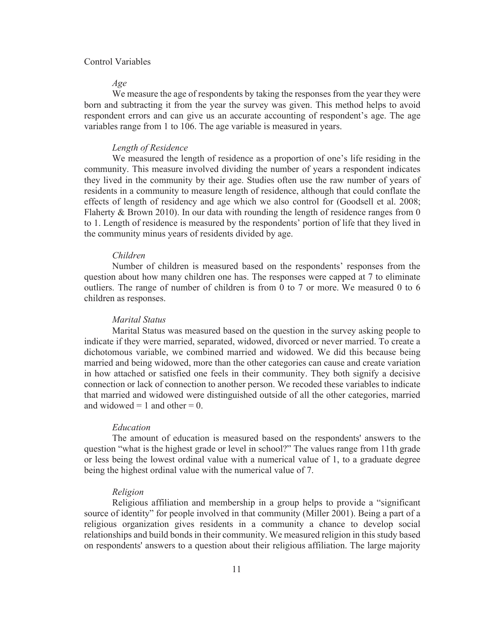## Control Variables

#### *Age*

We measure the age of respondents by taking the responses from the year they were born and subtracting it from the year the survey was given. This method helps to avoid respondent errors and can give us an accurate accounting of respondent's age. The age variables range from 1 to 106. The age variable is measured in years.

#### *Length of Residence*

We measured the length of residence as a proportion of one's life residing in the community. This measure involved dividing the number of years a respondent indicates they lived in the community by their age. Studies often use the raw number of years of residents in a community to measure length of residence, although that could conflate the effects of length of residency and age which we also control for (Goodsell et al. 2008; Flaherty & Brown 2010). In our data with rounding the length of residence ranges from  $0$ to 1. Length of residence is measured by the respondents' portion of life that they lived in the community minus years of residents divided by age.

#### *Children*

Number of children is measured based on the respondents' responses from the question about how many children one has. The responses were capped at 7 to eliminate outliers. The range of number of children is from 0 to 7 or more. We measured 0 to 6 children as responses.

# *Marital Status*

Marital Status was measured based on the question in the survey asking people to indicate if they were married, separated, widowed, divorced or never married. To create a dichotomous variable, we combined married and widowed. We did this because being married and being widowed, more than the other categories can cause and create variation in how attached or satisfied one feels in their community. They both signify a decisive connection or lack of connection to another person. We recoded these variables to indicate that married and widowed were distinguished outside of all the other categories, married and widowed  $= 1$  and other  $= 0$ .

#### *Education*

The amount of education is measured based on the respondents' answers to the question "what is the highest grade or level in school?" The values range from 11th grade or less being the lowest ordinal value with a numerical value of 1, to a graduate degree being the highest ordinal value with the numerical value of 7.

#### *Religion*

Religious affiliation and membership in a group helps to provide a "significant source of identity" for people involved in that community (Miller 2001). Being a part of a religious organization gives residents in a community a chance to develop social relationships and build bonds in their community. We measured religion in this study based on respondents' answers to a question about their religious affiliation. The large majority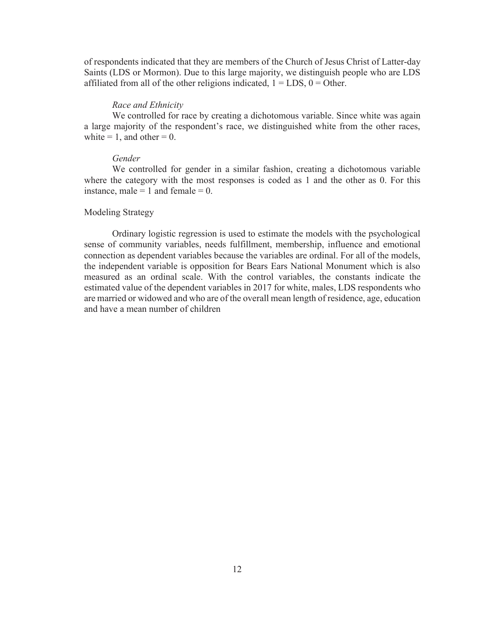of respondents indicated that they are members of the Church of Jesus Christ of Latter-day Saints (LDS or Mormon). Due to this large majority, we distinguish people who are LDS affiliated from all of the other religions indicated,  $1 = LDS$ ,  $0 = Other$ .

#### *Race and Ethnicity*

We controlled for race by creating a dichotomous variable. Since white was again a large majority of the respondent's race, we distinguished white from the other races, white  $= 1$ , and other  $= 0$ .

#### *Gender*

We controlled for gender in a similar fashion, creating a dichotomous variable where the category with the most responses is coded as 1 and the other as 0. For this instance, male  $= 1$  and female  $= 0$ .

#### Modeling Strategy

 Ordinary logistic regression is used to estimate the models with the psychological sense of community variables, needs fulfillment, membership, influence and emotional connection as dependent variables because the variables are ordinal. For all of the models, the independent variable is opposition for Bears Ears National Monument which is also measured as an ordinal scale. With the control variables, the constants indicate the estimated value of the dependent variables in 2017 for white, males, LDS respondents who are married or widowed and who are of the overall mean length of residence, age, education and have a mean number of children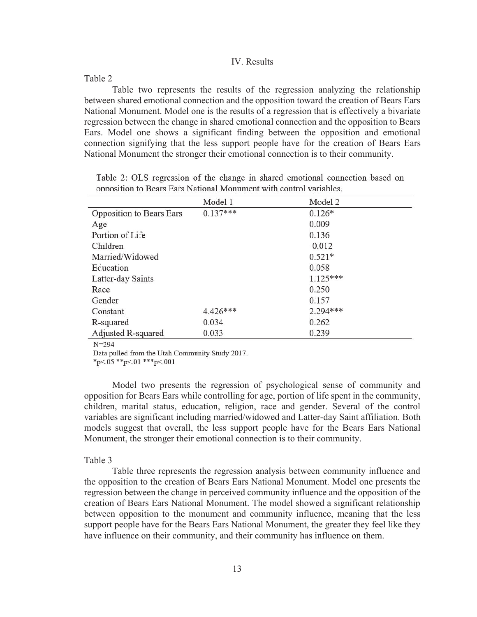#### IV. Results

Table 2

Table two represents the results of the regression analyzing the relationship between shared emotional connection and the opposition toward the creation of Bears Ears National Monument. Model one is the results of a regression that is effectively a bivariate regression between the change in shared emotional connection and the opposition to Bears Ears. Model one shows a significant finding between the opposition and emotional connection signifying that the less support people have for the creation of Bears Ears National Monument the stronger their emotional connection is to their community.

|                          | Model 1    | Model 2    |
|--------------------------|------------|------------|
| Opposition to Bears Ears | $0.137***$ | $0.126*$   |
| Age                      |            | 0.009      |
| Portion of Life          |            | 0.136      |
| Children                 |            | $-0.012$   |
| Married/Widowed          |            | $0.521*$   |
| Education                |            | 0.058      |
| Latter-day Saints        |            | $1.125***$ |
| Race                     |            | 0.250      |
| Gender                   |            | 0.157      |
| Constant                 | $4.426***$ | $2.294***$ |
| R-squared                | 0.034      | 0.262      |
| Adjusted R-squared       | 0.033      | 0.239      |

Table 2: OLS regression of the change in shared emotional connection based on opposition to Bears Ears National Monument with control variables.

 $N = 294$ 

Data pulled from the Utah Community Study 2017.

\*p<.05 \*\*p<.01 \*\*\*p<.001

Model two presents the regression of psychological sense of community and opposition for Bears Ears while controlling for age, portion of life spent in the community, children, marital status, education, religion, race and gender. Several of the control variables are significant including married/widowed and Latter-day Saint affiliation. Both models suggest that overall, the less support people have for the Bears Ears National Monument, the stronger their emotional connection is to their community.

#### Table 3

Table three represents the regression analysis between community influence and the opposition to the creation of Bears Ears National Monument. Model one presents the regression between the change in perceived community influence and the opposition of the creation of Bears Ears National Monument. The model showed a significant relationship between opposition to the monument and community influence, meaning that the less support people have for the Bears Ears National Monument, the greater they feel like they have influence on their community, and their community has influence on them.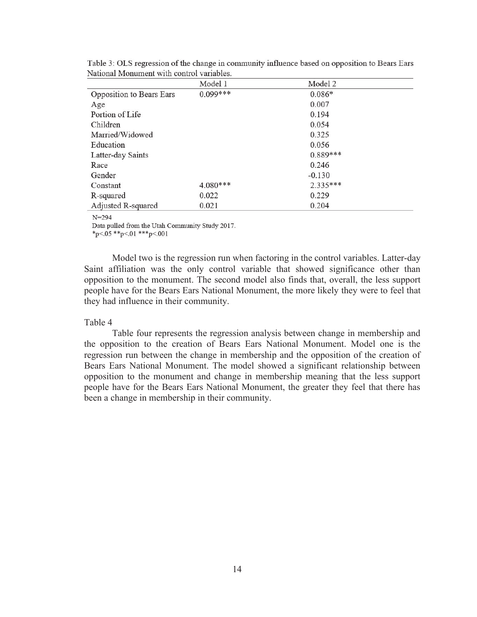|                          | Model 1    | Model 2    |
|--------------------------|------------|------------|
| Opposition to Bears Ears | $0.099***$ | $0.086*$   |
| Age                      |            | 0.007      |
| Portion of Life          |            | 0.194      |
| Children                 |            | 0.054      |
| Married/Widowed          |            | 0.325      |
| Education                |            | 0.056      |
| Latter-day Saints        |            | $0.889***$ |
| Race                     |            | 0.246      |
| Gender                   |            | $-0.130$   |
| Constant                 | $4.080***$ | $2.335***$ |
| R-squared                | 0.022      | 0.229      |
| Adjusted R-squared       | 0.021      | 0.204      |

Table 3: OLS regression of the change in community influence based on opposition to Bears Ears National Monument with control variables.

#### $N = 294$

Data pulled from the Utah Community Study 2017.

\*p<.05 \*\*p<.01 \*\*\*p<.001

Model two is the regression run when factoring in the control variables. Latter-day Saint affiliation was the only control variable that showed significance other than opposition to the monument. The second model also finds that, overall, the less support people have for the Bears Ears National Monument, the more likely they were to feel that they had influence in their community.

#### Table 4

Table four represents the regression analysis between change in membership and the opposition to the creation of Bears Ears National Monument. Model one is the regression run between the change in membership and the opposition of the creation of Bears Ears National Monument. The model showed a significant relationship between opposition to the monument and change in membership meaning that the less support people have for the Bears Ears National Monument, the greater they feel that there has been a change in membership in their community.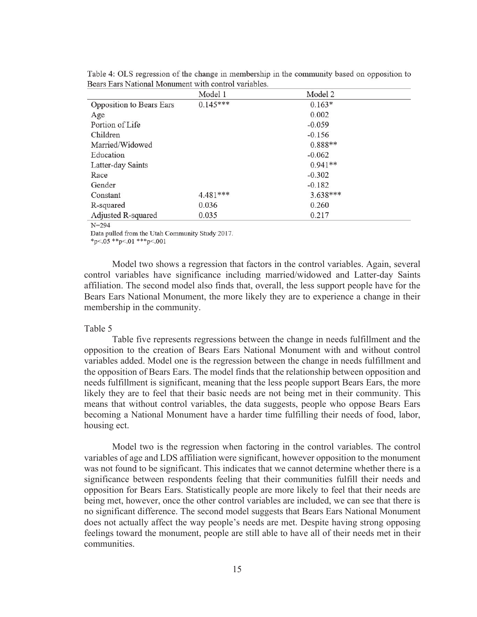|                          | Model 1    | Model 2    |
|--------------------------|------------|------------|
| Opposition to Bears Ears | $0.145***$ | $0.163*$   |
| Age                      |            | 0.002      |
| Portion of Life          |            | $-0.059$   |
| Children                 |            | $-0.156$   |
| Married/Widowed          |            | $0.888**$  |
| Education                |            | $-0.062$   |
| Latter-day Saints        |            | $0.941**$  |
| Race                     |            | $-0.302$   |
| Gender                   |            | $-0.182$   |
| Constant                 | $4.481***$ | $3.638***$ |
| R-squared                | 0.036      | 0.260      |
| Adjusted R-squared       | 0.035      | 0.217      |

Table 4: OLS regression of the change in membership in the community based on opposition to Bears Ears National Monument with control variables.

#### $N = 294$

Data pulled from the Utah Community Study 2017.

\*p<.05 \*\*p<.01 \*\*\*p<.001

Model two shows a regression that factors in the control variables. Again, several control variables have significance including married/widowed and Latter-day Saints affiliation. The second model also finds that, overall, the less support people have for the Bears Ears National Monument, the more likely they are to experience a change in their membership in the community.

#### Table 5

Table five represents regressions between the change in needs fulfillment and the opposition to the creation of Bears Ears National Monument with and without control variables added. Model one is the regression between the change in needs fulfillment and the opposition of Bears Ears. The model finds that the relationship between opposition and needs fulfillment is significant, meaning that the less people support Bears Ears, the more likely they are to feel that their basic needs are not being met in their community. This means that without control variables, the data suggests, people who oppose Bears Ears becoming a National Monument have a harder time fulfilling their needs of food, labor, housing ect.

Model two is the regression when factoring in the control variables. The control variables of age and LDS affiliation were significant, however opposition to the monument was not found to be significant. This indicates that we cannot determine whether there is a significance between respondents feeling that their communities fulfill their needs and opposition for Bears Ears. Statistically people are more likely to feel that their needs are being met, however, once the other control variables are included, we can see that there is no significant difference. The second model suggests that Bears Ears National Monument does not actually affect the way people's needs are met. Despite having strong opposing feelings toward the monument, people are still able to have all of their needs met in their communities.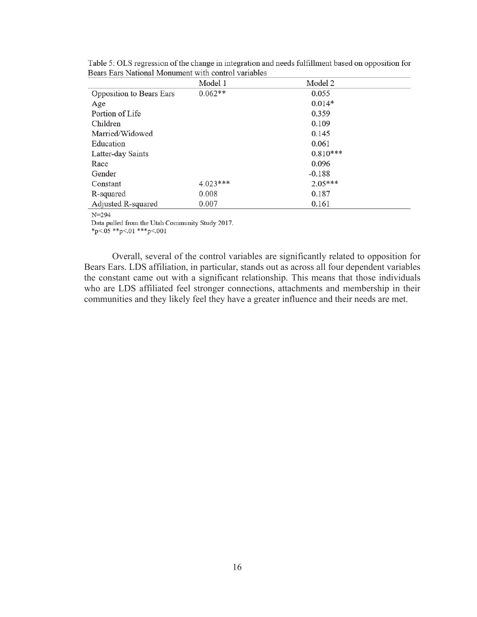|                          | Model 1    | Model 2    |
|--------------------------|------------|------------|
| Opposition to Bears Ears | $0.062**$  | 0.055      |
| Age                      |            | $0.014*$   |
| Portion of Life          |            | 0.359      |
| Children                 |            | 0.109      |
| Married/Widowed          |            | 0.145      |
| Education                |            | 0.061      |
| Latter-day Saints        |            | $0.810***$ |
| Race                     |            | 0.096      |
| Gender                   |            | $-0.188$   |
| Constant                 | $4.023***$ | $2.05***$  |
| R-squared                | 0.008      | 0.187      |
| Adjusted R-squared       | 0.007      | 0.161      |

Table 5: OLS regression of the change in integration and needs fulfillment based on opposition for Bears Ears National Monument with control variables

#### $N = 294$

Data pulled from the Utah Community Study 2017.

\*p<.05 \*\*p<.01 \*\*\*p<.001

 Overall, several of the control variables are significantly related to opposition for Bears Ears. LDS affiliation, in particular, stands out as across all four dependent variables the constant came out with a significant relationship. This means that those individuals who are LDS affiliated feel stronger connections, attachments and membership in their communities and they likely feel they have a greater influence and their needs are met.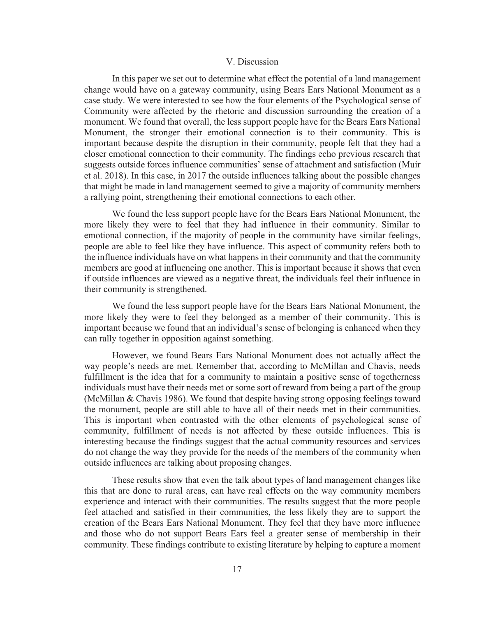#### V. Discussion

In this paper we set out to determine what effect the potential of a land management change would have on a gateway community, using Bears Ears National Monument as a case study. We were interested to see how the four elements of the Psychological sense of Community were affected by the rhetoric and discussion surrounding the creation of a monument. We found that overall, the less support people have for the Bears Ears National Monument, the stronger their emotional connection is to their community. This is important because despite the disruption in their community, people felt that they had a closer emotional connection to their community. The findings echo previous research that suggests outside forces influence communities' sense of attachment and satisfaction (Muir et al. 2018). In this case, in 2017 the outside influences talking about the possible changes that might be made in land management seemed to give a majority of community members a rallying point, strengthening their emotional connections to each other.

We found the less support people have for the Bears Ears National Monument, the more likely they were to feel that they had influence in their community. Similar to emotional connection, if the majority of people in the community have similar feelings, people are able to feel like they have influence. This aspect of community refers both to the influence individuals have on what happens in their community and that the community members are good at influencing one another. This is important because it shows that even if outside influences are viewed as a negative threat, the individuals feel their influence in their community is strengthened.

We found the less support people have for the Bears Ears National Monument, the more likely they were to feel they belonged as a member of their community. This is important because we found that an individual's sense of belonging is enhanced when they can rally together in opposition against something.

However, we found Bears Ears National Monument does not actually affect the way people's needs are met. Remember that, according to McMillan and Chavis, needs fulfillment is the idea that for a community to maintain a positive sense of togetherness individuals must have their needs met or some sort of reward from being a part of the group (McMillan & Chavis 1986). We found that despite having strong opposing feelings toward the monument, people are still able to have all of their needs met in their communities. This is important when contrasted with the other elements of psychological sense of community, fulfillment of needs is not affected by these outside influences. This is interesting because the findings suggest that the actual community resources and services do not change the way they provide for the needs of the members of the community when outside influences are talking about proposing changes.

These results show that even the talk about types of land management changes like this that are done to rural areas, can have real effects on the way community members experience and interact with their communities. The results suggest that the more people feel attached and satisfied in their communities, the less likely they are to support the creation of the Bears Ears National Monument. They feel that they have more influence and those who do not support Bears Ears feel a greater sense of membership in their community. These findings contribute to existing literature by helping to capture a moment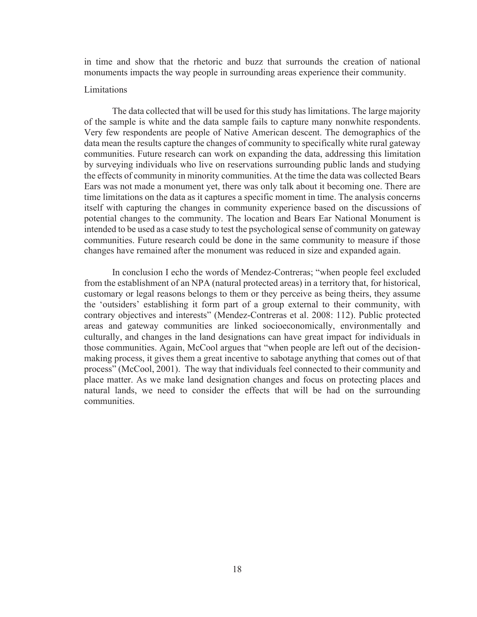in time and show that the rhetoric and buzz that surrounds the creation of national monuments impacts the way people in surrounding areas experience their community.

#### Limitations

 The data collected that will be used for this study has limitations. The large majority of the sample is white and the data sample fails to capture many nonwhite respondents. Very few respondents are people of Native American descent. The demographics of the data mean the results capture the changes of community to specifically white rural gateway communities. Future research can work on expanding the data, addressing this limitation by surveying individuals who live on reservations surrounding public lands and studying the effects of community in minority communities. At the time the data was collected Bears Ears was not made a monument yet, there was only talk about it becoming one. There are time limitations on the data as it captures a specific moment in time. The analysis concerns itself with capturing the changes in community experience based on the discussions of potential changes to the community. The location and Bears Ear National Monument is intended to be used as a case study to test the psychological sense of community on gateway communities. Future research could be done in the same community to measure if those changes have remained after the monument was reduced in size and expanded again.

In conclusion I echo the words of Mendez-Contreras; "when people feel excluded from the establishment of an NPA (natural protected areas) in a territory that, for historical, customary or legal reasons belongs to them or they perceive as being theirs, they assume the 'outsiders' establishing it form part of a group external to their community, with contrary objectives and interests" (Mendez-Contreras et al. 2008: 112). Public protected areas and gateway communities are linked socioeconomically, environmentally and culturally, and changes in the land designations can have great impact for individuals in those communities. Again, McCool argues that "when people are left out of the decisionmaking process, it gives them a great incentive to sabotage anything that comes out of that process" (McCool, 2001). The way that individuals feel connected to their community and place matter. As we make land designation changes and focus on protecting places and natural lands, we need to consider the effects that will be had on the surrounding communities.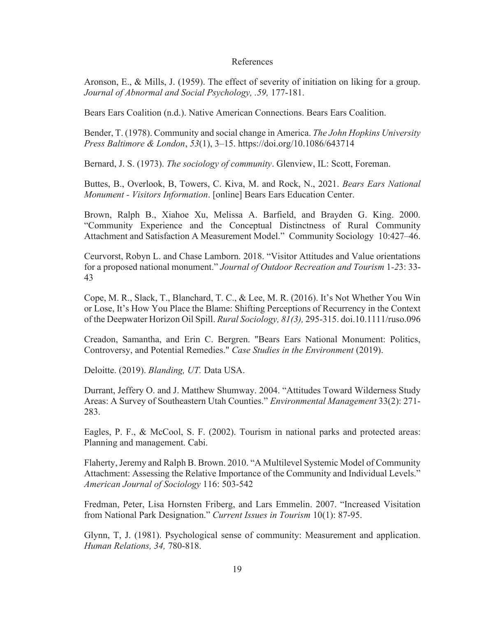### References

Aronson, E., & Mills, J. (1959). The effect of severity of initiation on liking for a group. *Journal of Abnormal and Social Psychology, .59,* 177-181.

Bears Ears Coalition (n.d.). Native American Connections. Bears Ears Coalition.

Bender, T. (1978). Community and social change in America. *The John Hopkins University Press Baltimore & London*, *53*(1), 3–15. https://doi.org/10.1086/643714

Bernard, J. S. (1973). *The sociology of community*. Glenview, IL: Scott, Foreman.

Buttes, B., Overlook, B, Towers, C. Kiva, M. and Rock, N., 2021. *Bears Ears National Monument - Visitors Information*. [online] Bears Ears Education Center.

Brown, Ralph B., Xiahoe Xu, Melissa A. Barfield, and Brayden G. King. 2000. "Community Experience and the Conceptual Distinctness of Rural Community Attachment and Satisfaction A Measurement Model." Community Sociology 10:427–46.

Ceurvorst, Robyn L. and Chase Lamborn. 2018. "Visitor Attitudes and Value orientations for a proposed national monument." *Journal of Outdoor Recreation and Tourism* 1*-2*3: 33- 43

Cope, M. R., Slack, T., Blanchard, T. C., & Lee, M. R. (2016). It's Not Whether You Win or Lose, It's How You Place the Blame: Shifting Perceptions of Recurrency in the Context of the Deepwater Horizon Oil Spill. *Rural Sociology, 81(3),* 295-315. doi.10.1111/ruso.096

Creadon, Samantha, and Erin C. Bergren. "Bears Ears National Monument: Politics, Controversy, and Potential Remedies." *Case Studies in the Environment* (2019).

Deloitte. (2019). *Blanding, UT.* Data USA.

Durrant, Jeffery O. and J. Matthew Shumway. 2004. "Attitudes Toward Wilderness Study Areas: A Survey of Southeastern Utah Counties." *Environmental Management* 33(2): 271- 283.

Eagles, P. F., & McCool, S. F. (2002). Tourism in national parks and protected areas: Planning and management. Cabi.

Flaherty, Jeremy and Ralph B. Brown. 2010. "A Multilevel Systemic Model of Community Attachment: Assessing the Relative Importance of the Community and Individual Levels." *American Journal of Sociology* 116: 503-542

Fredman, Peter, Lisa Hornsten Friberg, and Lars Emmelin. 2007. "Increased Visitation from National Park Designation." *Current Issues in Tourism* 10(1): 87-95.

Glynn, T, J. (1981). Psychological sense of community: Measurement and application. *Human Relations, 34,* 780-818.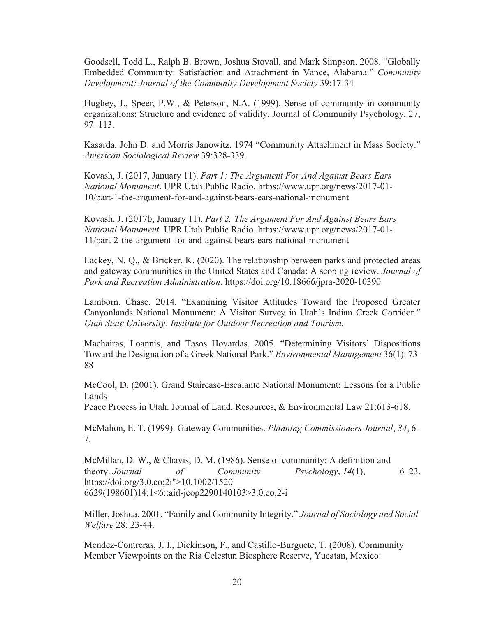Goodsell, Todd L., Ralph B. Brown, Joshua Stovall, and Mark Simpson. 2008. "Globally Embedded Community: Satisfaction and Attachment in Vance, Alabama." *Community Development: Journal of the Community Development Society* 39:17-34

Hughey, J., Speer, P.W., & Peterson, N.A. (1999). Sense of community in community organizations: Structure and evidence of validity. Journal of Community Psychology, 27, 97–113.

Kasarda, John D. and Morris Janowitz. 1974 "Community Attachment in Mass Society." *American Sociological Review* 39:328-339.

Kovash, J. (2017, January 11). *Part 1: The Argument For And Against Bears Ears National Monument*. UPR Utah Public Radio. https://www.upr.org/news/2017-01- 10/part-1-the-argument-for-and-against-bears-ears-national-monument

Kovash, J. (2017b, January 11). *Part 2: The Argument For And Against Bears Ears National Monument*. UPR Utah Public Radio. https://www.upr.org/news/2017-01- 11/part-2-the-argument-for-and-against-bears-ears-national-monument

Lackey, N. Q., & Bricker, K. (2020). The relationship between parks and protected areas and gateway communities in the United States and Canada: A scoping review. *Journal of Park and Recreation Administration*. https://doi.org/10.18666/jpra-2020-10390

Lamborn, Chase. 2014. "Examining Visitor Attitudes Toward the Proposed Greater Canyonlands National Monument: A Visitor Survey in Utah's Indian Creek Corridor." *Utah State University: Institute for Outdoor Recreation and Tourism.* 

Machairas, Loannis, and Tasos Hovardas. 2005. "Determining Visitors' Dispositions Toward the Designation of a Greek National Park." *Environmental Management* 36(1): 73- 88

McCool, D. (2001). Grand Staircase-Escalante National Monument: Lessons for a Public Lands

Peace Process in Utah. Journal of Land, Resources, & Environmental Law 21:613-618.

McMahon, E. T. (1999). Gateway Communities. *Planning Commissioners Journal*, *34*, 6– 7.

McMillan, D. W., & Chavis, D. M. (1986). Sense of community: A definition and theory. *Journal of Community Psychology*, *14*(1), 6–23. https://doi.org/3.0.co;2i">10.1002/1520 6629(198601)14:1<6::aid-jcop2290140103>3.0.co;2-i

Miller, Joshua. 2001. "Family and Community Integrity." *Journal of Sociology and Social Welfare* 28: 23-44.

Mendez-Contreras, J. I., Dickinson, F., and Castillo-Burguete, T. (2008). Community Member Viewpoints on the Ria Celestun Biosphere Reserve, Yucatan, Mexico: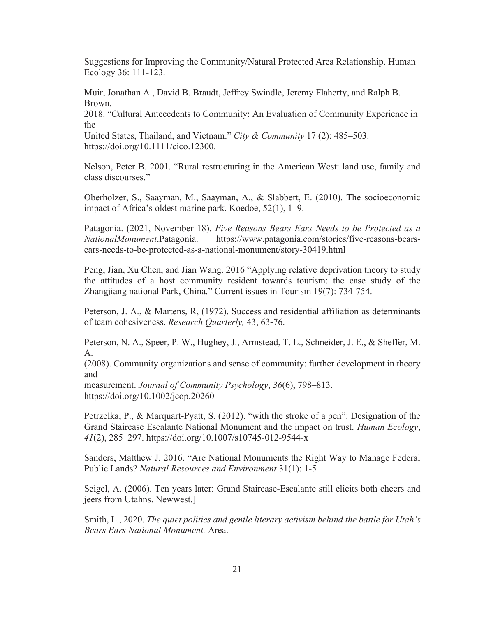Suggestions for Improving the Community/Natural Protected Area Relationship. Human Ecology 36: 111-123.

Muir, Jonathan A., David B. Braudt, Jeffrey Swindle, Jeremy Flaherty, and Ralph B. Brown.

2018. "Cultural Antecedents to Community: An Evaluation of Community Experience in the

United States, Thailand, and Vietnam." *City & Community* 17 (2): 485–503. https://doi.org/10.1111/cico.12300.

Nelson, Peter B. 2001. "Rural restructuring in the American West: land use, family and class discourses."

Oberholzer, S., Saayman, M., Saayman, A., & Slabbert, E. (2010). The socioeconomic impact of Africa's oldest marine park. Koedoe, 52(1), 1–9.

Patagonia. (2021, November 18). *Five Reasons Bears Ears Needs to be Protected as a NationalMonument*.Patagonia. https://www.patagonia.com/stories/five-reasons-bearsears-needs-to-be-protected-as-a-national-monument/story-30419.html

Peng, Jian, Xu Chen, and Jian Wang. 2016 "Applying relative deprivation theory to study the attitudes of a host community resident towards tourism: the case study of the Zhangjiang national Park, China." Current issues in Tourism 19(7): 734-754.

Peterson, J. A., & Martens, R, (1972). Success and residential affiliation as determinants of team cohesiveness. *Research Quarterly,* 43, 63-76.

Peterson, N. A., Speer, P. W., Hughey, J., Armstead, T. L., Schneider, J. E., & Sheffer, M. A.

(2008). Community organizations and sense of community: further development in theory and

measurement. *Journal of Community Psychology*, *36*(6), 798–813. https://doi.org/10.1002/jcop.20260

Petrzelka, P., & Marquart-Pyatt, S. (2012). "with the stroke of a pen": Designation of the Grand Staircase Escalante National Monument and the impact on trust. *Human Ecology*, *41*(2), 285–297. https://doi.org/10.1007/s10745-012-9544-x

Sanders, Matthew J. 2016. "Are National Monuments the Right Way to Manage Federal Public Lands? *Natural Resources and Environment* 31(1): 1-5

Seigel, A. (2006). Ten years later: Grand Staircase-Escalante still elicits both cheers and jeers from Utahns. Newwest.]

Smith, L., 2020. *The quiet politics and gentle literary activism behind the battle for Utah's Bears Ears National Monument.* Area.